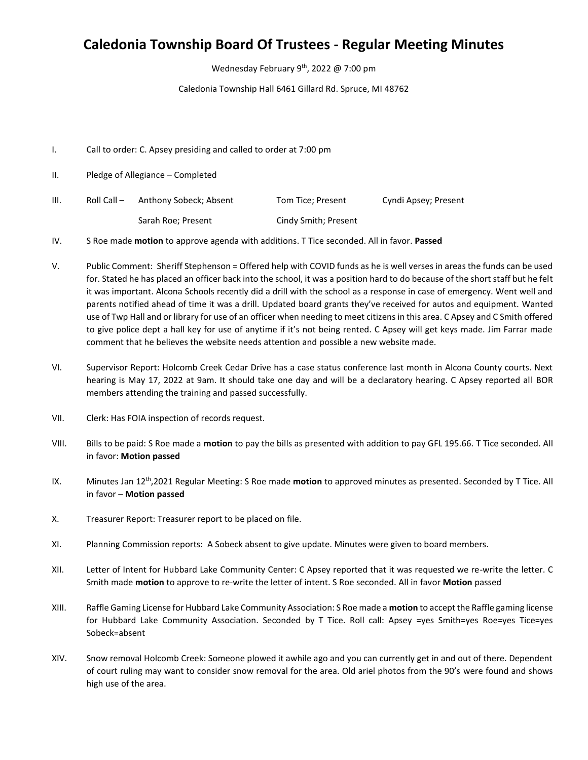## **Caledonia Township Board Of Trustees - Regular Meeting Minutes**

Wednesday February 9<sup>th</sup>, 2022 @ 7:00 pm

Caledonia Township Hall 6461 Gillard Rd. Spruce, MI 48762

- I. Call to order: C. Apsey presiding and called to order at 7:00 pm
- II. Pledge of Allegiance Completed
- III. Roll Call Anthony Sobeck; Absent Tom Tice; Present Cyndi Apsey; Present Sarah Roe; Present Cindy Smith; Present

IV. S Roe made **motion** to approve agenda with additions. T Tice seconded. All in favor. **Passed**

- V. Public Comment: Sheriff Stephenson = Offered help with COVID funds as he is well verses in areas the funds can be used for. Stated he has placed an officer back into the school, it was a position hard to do because of the short staff but he felt it was important. Alcona Schools recently did a drill with the school as a response in case of emergency. Went well and parents notified ahead of time it was a drill. Updated board grants they've received for autos and equipment. Wanted use of Twp Hall and or library for use of an officer when needing to meet citizens in this area. C Apsey and C Smith offered to give police dept a hall key for use of anytime if it's not being rented. C Apsey will get keys made. Jim Farrar made comment that he believes the website needs attention and possible a new website made.
- VI. Supervisor Report: Holcomb Creek Cedar Drive has a case status conference last month in Alcona County courts. Next hearing is May 17, 2022 at 9am. It should take one day and will be a declaratory hearing. C Apsey reported all BOR members attending the training and passed successfully.
- VII. Clerk: Has FOIA inspection of records request.
- VIII. Bills to be paid: S Roe made a **motion** to pay the bills as presented with addition to pay GFL 195.66. T Tice seconded. All in favor: **Motion passed**
- IX. Minutes Jan 12<sup>th</sup>,2021 Regular Meeting: S Roe made motion to approved minutes as presented. Seconded by T Tice. All in favor – **Motion passed**
- X. Treasurer Report: Treasurer report to be placed on file.
- XI. Planning Commission reports: A Sobeck absent to give update. Minutes were given to board members.
- XII. Letter of Intent for Hubbard Lake Community Center: C Apsey reported that it was requested we re-write the letter. C Smith made **motion** to approve to re-write the letter of intent. S Roe seconded. All in favor **Motion** passed
- XIII. Raffle Gaming License for Hubbard Lake Community Association: S Roe made a **motion** to accept the Raffle gaming license for Hubbard Lake Community Association. Seconded by T Tice. Roll call: Apsey =yes Smith=yes Roe=yes Tice=yes Sobeck=absent
- XIV. Snow removal Holcomb Creek: Someone plowed it awhile ago and you can currently get in and out of there. Dependent of court ruling may want to consider snow removal for the area. Old ariel photos from the 90's were found and shows high use of the area.